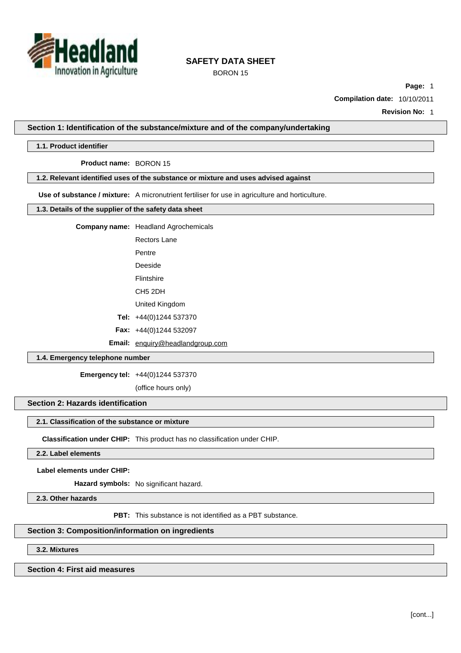

BORON 15

**Page:** 1

**Compilation date:** 10/10/2011

**Revision No:** 1

**Section 1: Identification of the substance/mixture and of the company/undertaking**

#### **1.1. Product identifier**

**Product name:** BORON 15

## **1.2. Relevant identified uses of the substance or mixture and uses advised against**

**Use of substance / mixture:** A micronutrient fertiliser for use in agriculture and horticulture.

#### **1.3. Details of the supplier of the safety data sheet**

**Company name:** Headland Agrochemicals

Rectors Lane

Pentre

Deeside Flintshire

CH5 2DH

United Kingdom

**Tel:** +44(0)1244 537370

**Fax:** +44(0)1244 532097

**Email:** [enquiry@headlandgroup.com](mailto:enquiry@headlandgroup.com)

## **1.4. Emergency telephone number**

**Emergency tel:** +44(0)1244 537370

(office hours only)

# **Section 2: Hazards identification**

## **2.1. Classification of the substance or mixture**

**Classification under CHIP:** This product has no classification under CHIP.

# **2.2. Label elements**

**Label elements under CHIP:**

**Hazard symbols:** No significant hazard.

**2.3. Other hazards**

**PBT:** This substance is not identified as a PBT substance.

### **Section 3: Composition/information on ingredients**

**3.2. Mixtures**

## **Section 4: First aid measures**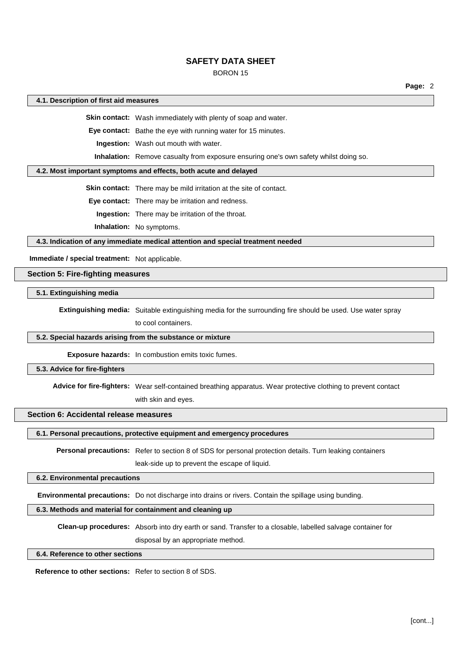## BORON 15

#### **4.1. Description of first aid measures**

**Skin contact:** Wash immediately with plenty of soap and water.

**Eye contact:** Bathe the eye with running water for 15 minutes.

**Ingestion:** Wash out mouth with water.

**Inhalation:** Remove casualty from exposure ensuring one's own safety whilst doing so.

#### **4.2. Most important symptoms and effects, both acute and delayed**

**Skin contact:** There may be mild irritation at the site of contact.

**Eye contact:** There may be irritation and redness.

**Ingestion:** There may be irritation of the throat.

**Inhalation:** No symptoms.

**4.3. Indication of any immediate medical attention and special treatment needed**

**Immediate / special treatment:** Not applicable.

## **Section 5: Fire-fighting measures**

**5.1. Extinguishing media**

**Extinguishing media:** Suitable extinguishing media for the surrounding fire should be used. Use water spray

to cool containers.

### **5.2. Special hazards arising from the substance or mixture**

**Exposure hazards:** In combustion emits toxic fumes.

## **5.3. Advice for fire-fighters**

**Advice for fire-fighters:** Wear self-contained breathing apparatus. Wear protective clothing to prevent contact

with skin and eyes.

## **Section 6: Accidental release measures**

**6.1. Personal precautions, protective equipment and emergency procedures**

**Personal precautions:** Refer to section 8 of SDS for personal protection details. Turn leaking containers

leak-side up to prevent the escape of liquid.

## **6.2. Environmental precautions**

**Environmental precautions:** Do not discharge into drains or rivers. Contain the spillage using bunding.

# **6.3. Methods and material for containment and cleaning up**

**Clean-up procedures:** Absorb into dry earth or sand. Transfer to a closable, labelled salvage container for

disposal by an appropriate method.

**6.4. Reference to other sections**

**Reference to other sections:** Refer to section 8 of SDS.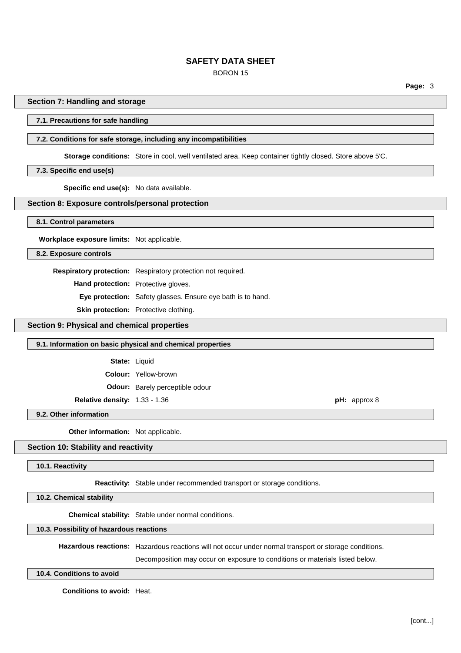# BORON 15

**Page:** 3

#### **Section 7: Handling and storage**

#### **7.1. Precautions for safe handling**

# **7.2. Conditions for safe storage, including any incompatibilities**

**Storage conditions:** Store in cool, well ventilated area. Keep container tightly closed. Store above 5'C.

#### **7.3. Specific end use(s)**

**Specific end use(s):** No data available.

# **Section 8: Exposure controls/personal protection**

**8.1. Control parameters**

**Workplace exposure limits:** Not applicable.

**8.2. Exposure controls**

**Respiratory protection:** Respiratory protection not required.

**Hand protection:** Protective gloves.

**Eye protection:** Safety glasses. Ensure eye bath is to hand.

**Skin protection:** Protective clothing.

**Section 9: Physical and chemical properties**

#### **9.1. Information on basic physical and chemical properties**

**State:** Liquid

**Colour:** Yellow-brown

**Odour:** Barely perceptible odour

**Relative density:** 1.33 - 1.36 **pH:** approx 8

**9.2. Other information**

**Other information:** Not applicable.

## **Section 10: Stability and reactivity**

### **10.1. Reactivity**

**Reactivity:** Stable under recommended transport or storage conditions.

**10.2. Chemical stability**

**Chemical stability:** Stable under normal conditions.

## **10.3. Possibility of hazardous reactions**

**Hazardous reactions:** Hazardous reactions will not occur under normal transport or storage conditions.

Decomposition may occur on exposure to conditions or materials listed below.

**10.4. Conditions to avoid**

**Conditions to avoid:** Heat.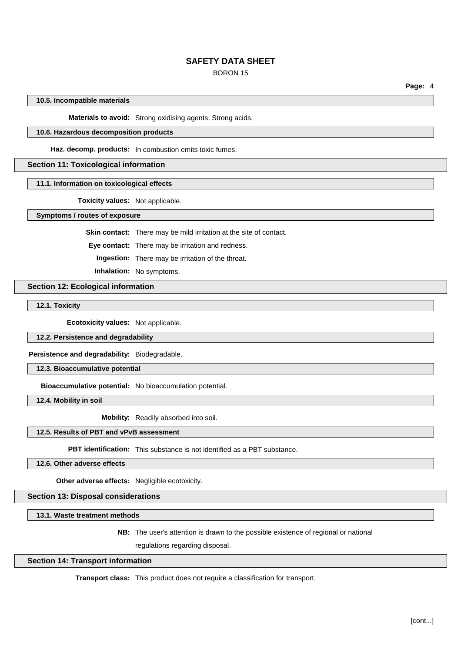### BORON 15

**Page:** 4

## **10.5. Incompatible materials**

**Materials to avoid:** Strong oxidising agents. Strong acids.

### **10.6. Hazardous decomposition products**

**Haz. decomp. products:** In combustion emits toxic fumes.

### **Section 11: Toxicological information**

## **11.1. Information on toxicological effects**

**Toxicity values:** Not applicable.

**Symptoms / routes of exposure**

**Skin contact:** There may be mild irritation at the site of contact.

**Eye contact:** There may be irritation and redness.

**Ingestion:** There may be irritation of the throat.

**Inhalation:** No symptoms.

## **Section 12: Ecological information**

**12.1. Toxicity**

**Ecotoxicity values:** Not applicable.

## **12.2. Persistence and degradability**

**Persistence and degradability:** Biodegradable.

**12.3. Bioaccumulative potential**

**Bioaccumulative potential:** No bioaccumulation potential.

**12.4. Mobility in soil**

**Mobility:** Readily absorbed into soil.

# **12.5. Results of PBT and vPvB assessment**

**PBT identification:** This substance is not identified as a PBT substance.

**12.6. Other adverse effects**

**Other adverse effects:** Negligible ecotoxicity.

# **Section 13: Disposal considerations**

**13.1. Waste treatment methods**

**NB:** The user's attention is drawn to the possible existence of regional or national

regulations regarding disposal.

### **Section 14: Transport information**

**Transport class:** This product does not require a classification for transport.